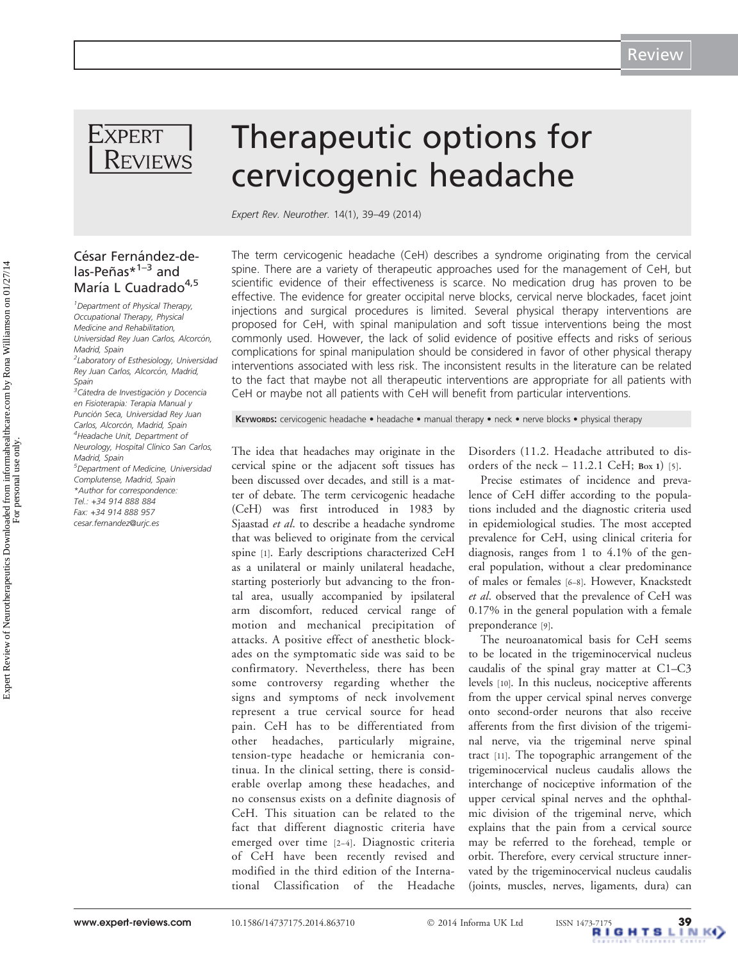

César Fernández-de $las-Peñas*1-3$  and María L Cuadrado<sup>4,5</sup> <sup>1</sup> Department of Physical Therapy, Occupational Therapy, Physical Medicine and Rehabilitation, Universidad Rey Juan Carlos, Alcorcón

<sup>2</sup>Laboratory of Esthesiology, Universidad Rey Juan Carlos, Alcorcón, Madrid,

<sup>3</sup>Cátedra de Investigación y Docencia en Fisioterapia: Terapia Manual y Punción Seca, Universidad Rey Juan Carlos, Alcorcón, Madrid, Spain 4 Headache Unit, Department of Neurology, Hospital Clínico San Carlos,

5 Department of Medicine, Universidad Complutense, Madrid, Spain \*Author for correspondence: Tel.: +34 914 888 884 Fax: +34 914 888 957 [cesar.fernandez@urjc.es](mailto:cesar.fernandez@urjc.es)

Madrid, Spain

Madrid, Spain

Spain

# Therapeutic options for cervicogenic headache

Expert Rev. Neurother. 14(1), 39–49 (2014)

The term cervicogenic headache (CeH) describes a syndrome originating from the cervical spine. There are a variety of therapeutic approaches used for the management of CeH, but scientific evidence of their effectiveness is scarce. No medication drug has proven to be effective. The evidence for greater occipital nerve blocks, cervical nerve blockades, facet joint injections and surgical procedures is limited. Several physical therapy interventions are proposed for CeH, with spinal manipulation and soft tissue interventions being the most commonly used. However, the lack of solid evidence of positive effects and risks of serious complications for spinal manipulation should be considered in favor of other physical therapy interventions associated with less risk. The inconsistent results in the literature can be related to the fact that maybe not all therapeutic interventions are appropriate for all patients with CeH or maybe not all patients with CeH will benefit from particular interventions.

KEYWORDS: cervicogenic headache • headache • manual therapy • neck • nerve blocks • physical therapy

The idea that headaches may originate in the cervical spine or the adjacent soft tissues has been discussed over decades, and still is a matter of debate. The term cervicogenic headache (CeH) was first introduced in 1983 by Sjaastad et al. to describe a headache syndrome that was believed to originate from the cervical spine [[1\]](#page-7-0). Early descriptions characterized CeH as a unilateral or mainly unilateral headache, starting posteriorly but advancing to the frontal area, usually accompanied by ipsilateral arm discomfort, reduced cervical range of motion and mechanical precipitation of attacks. A positive effect of anesthetic blockades on the symptomatic side was said to be confirmatory. Nevertheless, there has been some controversy regarding whether the signs and symptoms of neck involvement represent a true cervical source for head pain. CeH has to be differentiated from other headaches, particularly migraine, tension-type headache or hemicrania continua. In the clinical setting, there is considerable overlap among these headaches, and no consensus exists on a definite diagnosis of CeH. This situation can be related to the fact that different diagnostic criteria have emerged over time [[2](#page-7-0)–[4\]](#page-7-0). Diagnostic criteria of CeH have been recently revised and modified in the third edition of the International Classification of the Headache

Disorders (11.2. Headache attributed to disorders of the neck  $-11.2.1$  CeH; Box 1) [[5](#page-7-0)].

Precise estimates of incidence and prevalence of CeH differ according to the populations included and the diagnostic criteria used in epidemiological studies. The most accepted prevalence for CeH, using clinical criteria for diagnosis, ranges from 1 to 4.1% of the general population, without a clear predominance of males or females [\[6](#page-7-0)–[8\]](#page-7-0). However, Knackstedt et al. observed that the prevalence of CeH was 0.17% in the general population with a female preponderance [\[9](#page-7-0)].

The neuroanatomical basis for CeH seems to be located in the trigeminocervical nucleus caudalis of the spinal gray matter at C1–C3 levels [\[10\]](#page-7-0). In this nucleus, nociceptive afferents from the upper cervical spinal nerves converge onto second-order neurons that also receive afferents from the first division of the trigeminal nerve, via the trigeminal nerve spinal tract [\[11](#page-7-0)]. The topographic arrangement of the trigeminocervical nucleus caudalis allows the interchange of nociceptive information of the upper cervical spinal nerves and the ophthalmic division of the trigeminal nerve, which explains that the pain from a cervical source may be referred to the forehead, temple or orbit. Therefore, every cervical structure innervated by the trigeminocervical nucleus caudalis (joints, muscles, nerves, ligaments, dura) can

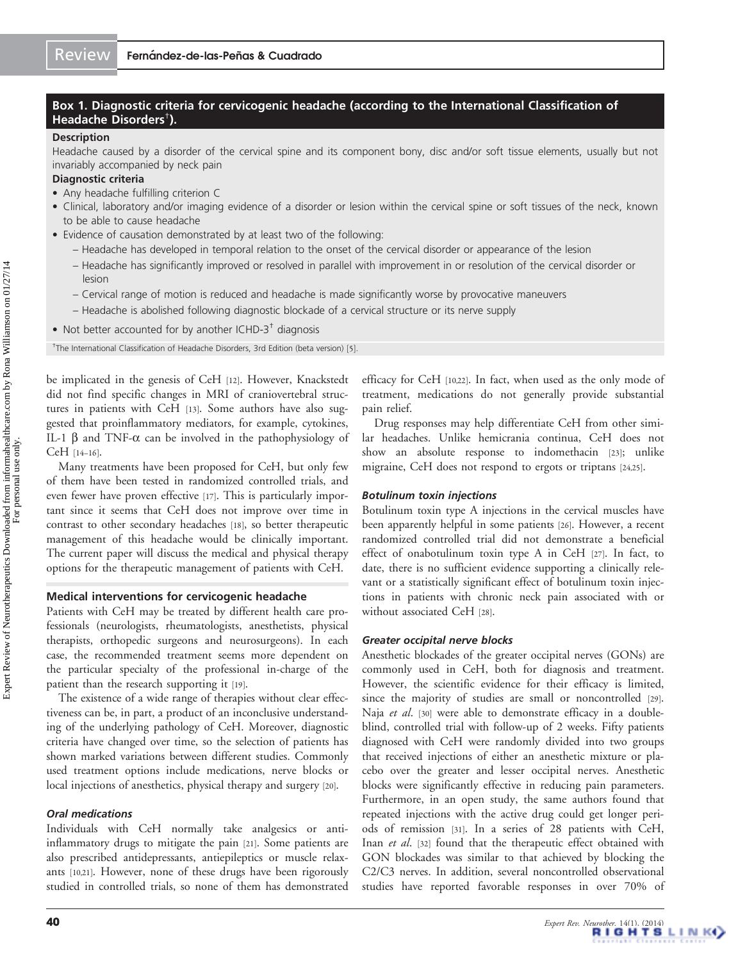## Box 1. Diagnostic criteria for cervicogenic headache (according to the International Classification of Headache Disorders† ).

## **Description**

Headache caused by a disorder of the cervical spine and its component bony, disc and/or soft tissue elements, usually but not invariably accompanied by neck pain

## Diagnostic criteria

- Any headache fulfilling criterion C
- Clinical, laboratory and/or imaging evidence of a disorder or lesion within the cervical spine or soft tissues of the neck, known to be able to cause headache
- Evidence of causation demonstrated by at least two of the following:
	- Headache has developed in temporal relation to the onset of the cervical disorder or appearance of the lesion
	- Headache has significantly improved or resolved in parallel with improvement in or resolution of the cervical disorder or lesion
	- Cervical range of motion is reduced and headache is made significantly worse by provocative maneuvers
	- Headache is abolished following diagnostic blockade of a cervical structure or its nerve supply
- Not better accounted for by another ICHD-3 $<sup>†</sup>$  diagnosis</sup>

<sup>†</sup>The International Classification of Headache Disorders, 3rd Edition (beta version) [\[5\]](#page-7-0).

be implicated in the genesis of CeH [\[12\]](#page-7-0). However, Knackstedt did not find specific changes in MRI of craniovertebral structures in patients with CeH [[13](#page-7-0)]. Some authors have also suggested that proinflammatory mediators, for example, cytokines, IL-1  $\beta$  and TNF- $\alpha$  can be involved in the pathophysiology of CeH [[14](#page-7-0)–[16\]](#page-7-0).

Many treatments have been proposed for CeH, but only few of them have been tested in randomized controlled trials, and even fewer have proven effective [[17](#page-7-0)]. This is particularly important since it seems that CeH does not improve over time in contrast to other secondary headaches [[18](#page-7-0)], so better therapeutic management of this headache would be clinically important. The current paper will discuss the medical and physical therapy options for the therapeutic management of patients with CeH.

#### Medical interventions for cervicogenic headache

Patients with CeH may be treated by different health care professionals (neurologists, rheumatologists, anesthetists, physical therapists, orthopedic surgeons and neurosurgeons). In each case, the recommended treatment seems more dependent on the particular specialty of the professional in-charge of the patient than the research supporting it [[19](#page-7-0)].

The existence of a wide range of therapies without clear effectiveness can be, in part, a product of an inconclusive understanding of the underlying pathology of CeH. Moreover, diagnostic criteria have changed over time, so the selection of patients has shown marked variations between different studies. Commonly used treatment options include medications, nerve blocks or local injections of anesthetics, physical therapy and surgery [[20](#page-7-0)].

## Oral medications

Individuals with CeH normally take analgesics or antiinflammatory drugs to mitigate the pain [\[21\]](#page-7-0). Some patients are also prescribed antidepressants, antiepileptics or muscle relaxants [[10](#page-7-0),[21](#page-7-0)]. However, none of these drugs have been rigorously studied in controlled trials, so none of them has demonstrated efficacy for CeH [[10,22](#page-7-0)]. In fact, when used as the only mode of treatment, medications do not generally provide substantial pain relief.

Drug responses may help differentiate CeH from other similar headaches. Unlike hemicrania continua, CeH does not show an absolute response to indomethacin [[23](#page-7-0)]; unlike migraine, CeH does not respond to ergots or triptans [\[24,25\]](#page-7-0).

## Botulinum toxin injections

Botulinum toxin type A injections in the cervical muscles have been apparently helpful in some patients [\[26\]](#page-7-0). However, a recent randomized controlled trial did not demonstrate a beneficial effect of onabotulinum toxin type A in CeH [[27](#page-7-0)]. In fact, to date, there is no sufficient evidence supporting a clinically relevant or a statistically significant effect of botulinum toxin injections in patients with chronic neck pain associated with or without associated CeH [[28](#page-7-0)].

#### Greater occipital nerve blocks

Anesthetic blockades of the greater occipital nerves (GONs) are commonly used in CeH, both for diagnosis and treatment. However, the scientific evidence for their efficacy is limited, since the majority of studies are small or noncontrolled [\[29\]](#page-7-0). Naja et al. [[30\]](#page-7-0) were able to demonstrate efficacy in a doubleblind, controlled trial with follow-up of 2 weeks. Fifty patients diagnosed with CeH were randomly divided into two groups that received injections of either an anesthetic mixture or placebo over the greater and lesser occipital nerves. Anesthetic blocks were significantly effective in reducing pain parameters. Furthermore, in an open study, the same authors found that repeated injections with the active drug could get longer periods of remission [\[31\]](#page-7-0). In a series of 28 patients with CeH, Inan et al. [[32\]](#page-7-0) found that the therapeutic effect obtained with GON blockades was similar to that achieved by blocking the C2/C3 nerves. In addition, several noncontrolled observational studies have reported favorable responses in over 70% of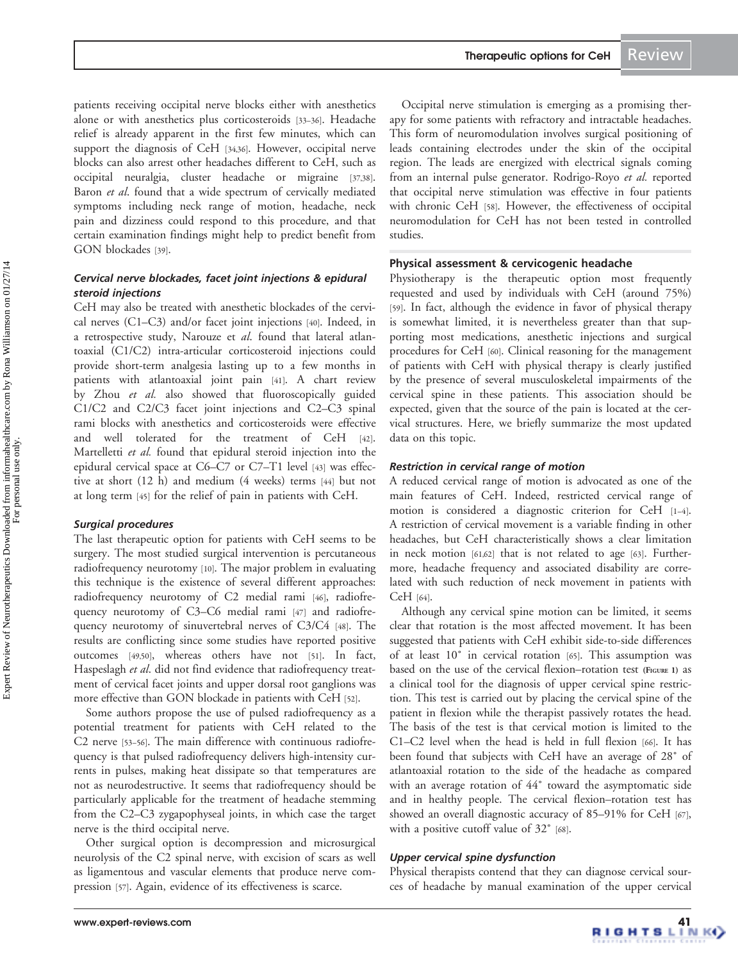patients receiving occipital nerve blocks either with anesthetics alone or with anesthetics plus corticosteroids [[33](#page-7-0)–[36\]](#page-8-0). Headache relief is already apparent in the first few minutes, which can support the diagnosis of CeH [\[34,](#page-7-0)[36\]](#page-8-0). However, occipital nerve blocks can also arrest other headaches different to CeH, such as occipital neuralgia, cluster headache or migraine [\[37,38\]](#page-8-0). Baron et al. found that a wide spectrum of cervically mediated symptoms including neck range of motion, headache, neck pain and dizziness could respond to this procedure, and that certain examination findings might help to predict benefit from GON blockades [[39](#page-8-0)].

# Cervical nerve blockades, facet joint injections & epidural steroid injections

CeH may also be treated with anesthetic blockades of the cervical nerves (C1–C3) and/or facet joint injections [\[40\]](#page-8-0). Indeed, in a retrospective study, Narouze et al. found that lateral atlantoaxial (C1/C2) intra-articular corticosteroid injections could provide short-term analgesia lasting up to a few months in patients with atlantoaxial joint pain [\[41](#page-8-0)]. A chart review by Zhou et al. also showed that fluoroscopically guided C1/C2 and C2/C3 facet joint injections and C2–C3 spinal rami blocks with anesthetics and corticosteroids were effective and well tolerated for the treatment of CeH [\[42\]](#page-8-0). Martelletti et al. found that epidural steroid injection into the epidural cervical space at C6–C7 or C7–T1 level [\[43\]](#page-8-0) was effective at short (12 h) and medium (4 weeks) terms [\[44\]](#page-8-0) but not at long term [\[45\]](#page-8-0) for the relief of pain in patients with CeH.

# Surgical procedures

The last therapeutic option for patients with CeH seems to be surgery. The most studied surgical intervention is percutaneous radiofrequency neurotomy [\[10\]](#page-7-0). The major problem in evaluating this technique is the existence of several different approaches: radiofrequency neurotomy of C2 medial rami [\[46\]](#page-8-0), radiofrequency neurotomy of C3–C6 medial rami [[47](#page-8-0)] and radiofrequency neurotomy of sinuvertebral nerves of C3/C4 [\[48\]](#page-8-0). The results are conflicting since some studies have reported positive outcomes [[49,50](#page-8-0)], whereas others have not [[51\]](#page-8-0). In fact, Haspeslagh et al. did not find evidence that radiofrequency treatment of cervical facet joints and upper dorsal root ganglions was more effective than GON blockade in patients with CeH [[52](#page-8-0)].

Some authors propose the use of pulsed radiofrequency as a potential treatment for patients with CeH related to the C2 nerve [[53](#page-8-0)–[56\]](#page-8-0). The main difference with continuous radiofrequency is that pulsed radiofrequency delivers high-intensity currents in pulses, making heat dissipate so that temperatures are not as neurodestructive. It seems that radiofrequency should be particularly applicable for the treatment of headache stemming from the C2–C3 zygapophyseal joints, in which case the target nerve is the third occipital nerve.

Other surgical option is decompression and microsurgical neurolysis of the C2 spinal nerve, with excision of scars as well as ligamentous and vascular elements that produce nerve compression [[57](#page-8-0)]. Again, evidence of its effectiveness is scarce.

Occipital nerve stimulation is emerging as a promising therapy for some patients with refractory and intractable headaches. This form of neuromodulation involves surgical positioning of leads containing electrodes under the skin of the occipital region. The leads are energized with electrical signals coming from an internal pulse generator. Rodrigo-Royo et al. reported that occipital nerve stimulation was effective in four patients with chronic CeH [\[58\]](#page-8-0). However, the effectiveness of occipital neuromodulation for CeH has not been tested in controlled studies.

# Physical assessment & cervicogenic headache

Physiotherapy is the therapeutic option most frequently requested and used by individuals with CeH (around 75%) [\[59\]](#page-8-0). In fact, although the evidence in favor of physical therapy is somewhat limited, it is nevertheless greater than that supporting most medications, anesthetic injections and surgical procedures for CeH [\[60\]](#page-8-0). Clinical reasoning for the management of patients with CeH with physical therapy is clearly justified by the presence of several musculoskeletal impairments of the cervical spine in these patients. This association should be expected, given that the source of the pain is located at the cervical structures. Here, we briefly summarize the most updated data on this topic.

## Restriction in cervical range of motion

A reduced cervical range of motion is advocated as one of the main features of CeH. Indeed, restricted cervical range of motion is considered a diagnostic criterion for CeH [\[1](#page-7-0)–[4](#page-7-0)]. A restriction of cervical movement is a variable finding in other headaches, but CeH characteristically shows a clear limitation in neck motion [[61](#page-8-0),[62](#page-8-0)] that is not related to age [\[63\]](#page-8-0). Furthermore, headache frequency and associated disability are correlated with such reduction of neck movement in patients with CeH [\[64\]](#page-8-0).

Although any cervical spine motion can be limited, it seems clear that rotation is the most affected movement. It has been suggested that patients with CeH exhibit side-to-side differences of at least 10˚ in cervical rotation [\[65\]](#page-8-0). This assumption was based on the use of the cervical flexion-rotation test [\(FIGURE](#page-3-0) 1) as a clinical tool for the diagnosis of upper cervical spine restriction. This test is carried out by placing the cervical spine of the patient in flexion while the therapist passively rotates the head. The basis of the test is that cervical motion is limited to the C1–C2 level when the head is held in full flexion [[66](#page-8-0)]. It has been found that subjects with CeH have an average of 28˚ of atlantoaxial rotation to the side of the headache as compared with an average rotation of 44˚ toward the asymptomatic side and in healthy people. The cervical flexion–rotation test has showed an overall diagnostic accuracy of 85–91% for CeH [[67](#page-8-0)], with a positive cutoff value of 32° [[68](#page-8-0)].

## Upper cervical spine dysfunction

Physical therapists contend that they can diagnose cervical sources of headache by manual examination of the upper cervical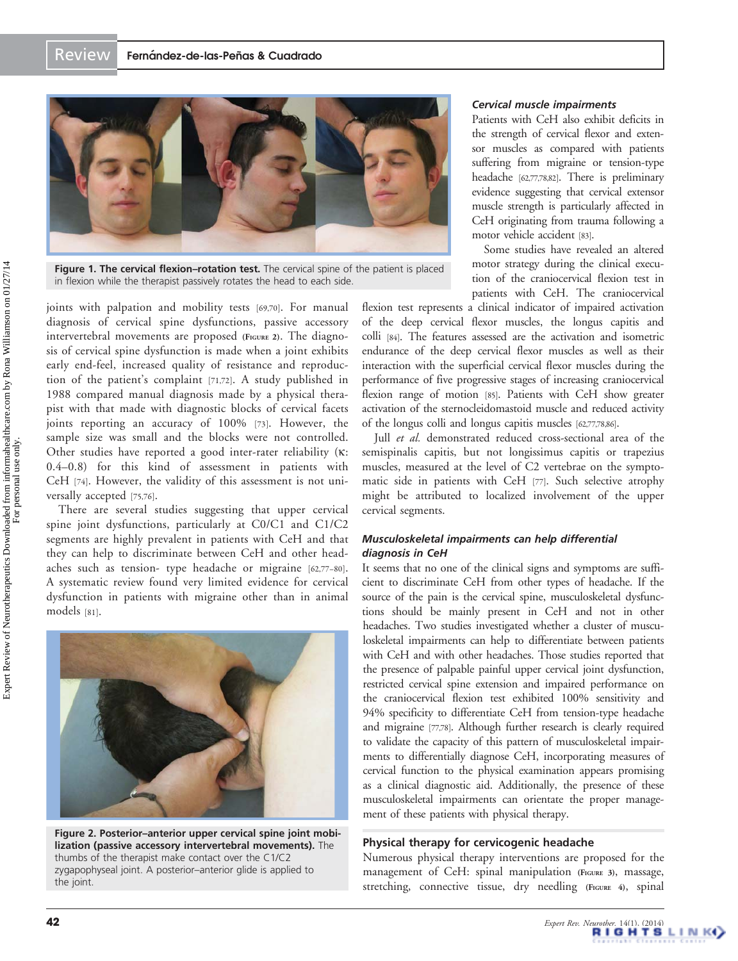<span id="page-3-0"></span>

**Figure 1. The cervical flexion–rotation test.** The cervical spine of the patient is placed in flexion while the therapist passively rotates the head to each side.

joints with palpation and mobility tests [[69,70](#page-8-0)]. For manual diagnosis of cervical spine dysfunctions, passive accessory intervertebral movements are proposed (FIGURE 2). The diagnosis of cervical spine dysfunction is made when a joint exhibits early end-feel, increased quality of resistance and reproduction of the patient's complaint [\[71](#page-8-0),[72\]](#page-9-0). A study published in 1988 compared manual diagnosis made by a physical therapist with that made with diagnostic blocks of cervical facets joints reporting an accuracy of 100% [[73](#page-9-0)]. However, the sample size was small and the blocks were not controlled. Other studies have reported a good inter-rater reliability (k: 0.4–0.8) for this kind of assessment in patients with CeH [\[74](#page-9-0)]. However, the validity of this assessment is not universally accepted [\[75](#page-9-0),[76](#page-9-0)].

There are several studies suggesting that upper cervical spine joint dysfunctions, particularly at C0/C1 and C1/C2 segments are highly prevalent in patients with CeH and that they can help to discriminate between CeH and other headaches such as tension- type headache or migraine [[62,](#page-8-0)[77](#page-9-0)–[80\]](#page-9-0). A systematic review found very limited evidence for cervical dysfunction in patients with migraine other than in animal models [\[81](#page-9-0)].



Figure 2. Posterior–anterior upper cervical spine joint mobilization (passive accessory intervertebral movements). The thumbs of the therapist make contact over the C1/C2 zygapophyseal joint. A posterior–anterior glide is applied to the joint.

#### Cervical muscle impairments

Patients with CeH also exhibit deficits in the strength of cervical flexor and extensor muscles as compared with patients suffering from migraine or tension-type headache [\[62,](#page-8-0)[77,78,82](#page-9-0)]. There is preliminary evidence suggesting that cervical extensor muscle strength is particularly affected in CeH originating from trauma following a motor vehicle accident [\[83](#page-9-0)].

Some studies have revealed an altered motor strategy during the clinical execution of the craniocervical flexion test in patients with CeH. The craniocervical

flexion test represents a clinical indicator of impaired activation of the deep cervical flexor muscles, the longus capitis and colli [[84\]](#page-9-0). The features assessed are the activation and isometric endurance of the deep cervical flexor muscles as well as their interaction with the superficial cervical flexor muscles during the performance of five progressive stages of increasing craniocervical flexion range of motion [[85](#page-9-0)]. Patients with CeH show greater activation of the sternocleidomastoid muscle and reduced activity of the longus colli and longus capitis muscles [[62](#page-8-0)[,77,78](#page-9-0),[86](#page-9-0)].

Jull et al. demonstrated reduced cross-sectional area of the semispinalis capitis, but not longissimus capitis or trapezius muscles, measured at the level of C2 vertebrae on the symptomatic side in patients with CeH [\[77\]](#page-9-0). Such selective atrophy might be attributed to localized involvement of the upper cervical segments.

## Musculoskeletal impairments can help differential diagnosis in CeH

It seems that no one of the clinical signs and symptoms are sufficient to discriminate CeH from other types of headache. If the source of the pain is the cervical spine, musculoskeletal dysfunctions should be mainly present in CeH and not in other headaches. Two studies investigated whether a cluster of musculoskeletal impairments can help to differentiate between patients with CeH and with other headaches. Those studies reported that the presence of palpable painful upper cervical joint dysfunction, restricted cervical spine extension and impaired performance on the craniocervical flexion test exhibited 100% sensitivity and 94% specificity to differentiate CeH from tension-type headache and migraine [\[77,78](#page-9-0)]. Although further research is clearly required to validate the capacity of this pattern of musculoskeletal impairments to differentially diagnose CeH, incorporating measures of cervical function to the physical examination appears promising as a clinical diagnostic aid. Additionally, the presence of these musculoskeletal impairments can orientate the proper management of these patients with physical therapy.

## Physical therapy for cervicogenic headache

Numerous physical therapy interventions are proposed for the management of CeH: spinal manipulation [\(FIGURE](#page-4-0) 3), massage, stretching, connective tissue, dry needling [\(FIGURE](#page-4-0) 4), spinal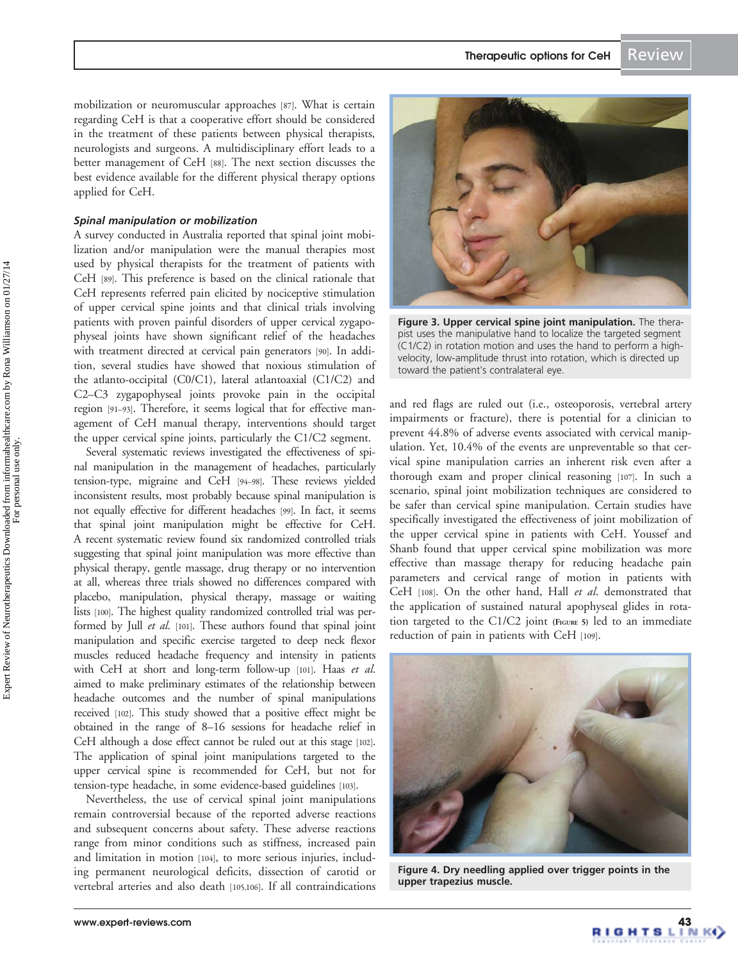<span id="page-4-0"></span>mobilization or neuromuscular approaches [\[87\]](#page-9-0). What is certain regarding CeH is that a cooperative effort should be considered in the treatment of these patients between physical therapists, neurologists and surgeons. A multidisciplinary effort leads to a better management of CeH [\[88\]](#page-9-0). The next section discusses the best evidence available for the different physical therapy options applied for CeH.

#### Spinal manipulation or mobilization

A survey conducted in Australia reported that spinal joint mobilization and/or manipulation were the manual therapies most used by physical therapists for the treatment of patients with CeH [[89](#page-9-0)]. This preference is based on the clinical rationale that CeH represents referred pain elicited by nociceptive stimulation of upper cervical spine joints and that clinical trials involving patients with proven painful disorders of upper cervical zygapophyseal joints have shown significant relief of the headaches with treatment directed at cervical pain generators [\[90\]](#page-9-0). In addition, several studies have showed that noxious stimulation of the atlanto-occipital (C0/C1), lateral atlantoaxial (C1/C2) and C2–C3 zygapophyseal joints provoke pain in the occipital region [[91](#page-9-0)–[93\]](#page-9-0). Therefore, it seems logical that for effective management of CeH manual therapy, interventions should target the upper cervical spine joints, particularly the C1/C2 segment.

Several systematic reviews investigated the effectiveness of spinal manipulation in the management of headaches, particularly tension-type, migraine and CeH [\[94](#page-9-0)–[98](#page-9-0)]. These reviews yielded inconsistent results, most probably because spinal manipulation is not equally effective for different headaches [[99\]](#page-9-0). In fact, it seems that spinal joint manipulation might be effective for CeH. A recent systematic review found six randomized controlled trials suggesting that spinal joint manipulation was more effective than physical therapy, gentle massage, drug therapy or no intervention at all, whereas three trials showed no differences compared with placebo, manipulation, physical therapy, massage or waiting lists [\[100](#page-9-0)]. The highest quality randomized controlled trial was per-formed by Jull et al. [\[101\]](#page-9-0). These authors found that spinal joint manipulation and specific exercise targeted to deep neck flexor muscles reduced headache frequency and intensity in patients with CeH at short and long-term follow-up [\[101](#page-9-0)]. Haas et al. aimed to make preliminary estimates of the relationship between headache outcomes and the number of spinal manipulations received [\[102](#page-9-0)]. This study showed that a positive effect might be obtained in the range of 8–16 sessions for headache relief in CeH although a dose effect cannot be ruled out at this stage [\[102\]](#page-9-0). The application of spinal joint manipulations targeted to the upper cervical spine is recommended for CeH, but not for tension-type headache, in some evidence-based guidelines [\[103\]](#page-9-0).

Nevertheless, the use of cervical spinal joint manipulations remain controversial because of the reported adverse reactions and subsequent concerns about safety. These adverse reactions range from minor conditions such as stiffness, increased pain and limitation in motion [[104\]](#page-9-0), to more serious injuries, including permanent neurological deficits, dissection of carotid or vertebral arteries and also death [\[105,106](#page-9-0)]. If all contraindications



Figure 3. Upper cervical spine joint manipulation. The therapist uses the manipulative hand to localize the targeted segment (C1/C2) in rotation motion and uses the hand to perform a highvelocity, low-amplitude thrust into rotation, which is directed up toward the patient's contralateral eye.

and red flags are ruled out (i.e., osteoporosis, vertebral artery impairments or fracture), there is potential for a clinician to prevent 44.8% of adverse events associated with cervical manipulation. Yet, 10.4% of the events are unpreventable so that cervical spine manipulation carries an inherent risk even after a thorough exam and proper clinical reasoning [\[107\]](#page-9-0). In such a scenario, spinal joint mobilization techniques are considered to be safer than cervical spine manipulation. Certain studies have specifically investigated the effectiveness of joint mobilization of the upper cervical spine in patients with CeH. Youssef and Shanb found that upper cervical spine mobilization was more effective than massage therapy for reducing headache pain parameters and cervical range of motion in patients with CeH [[108](#page-10-0)]. On the other hand, Hall et al. demonstrated that the application of sustained natural apophyseal glides in rota-tion targeted to the C1/C2 joint [\(FIGURE](#page-5-0) 5) led to an immediate reduction of pain in patients with CeH [[109\]](#page-10-0).



Figure 4. Dry needling applied over trigger points in the upper trapezius muscle.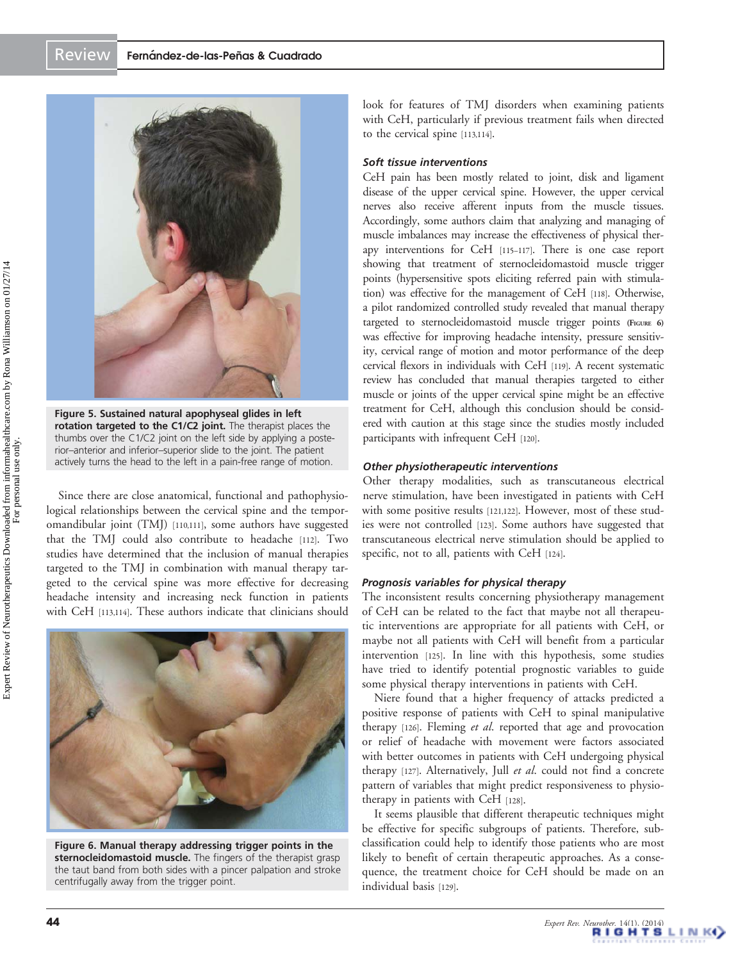<span id="page-5-0"></span>

Figure 5. Sustained natural apophyseal glides in left rotation targeted to the C1/C2 joint. The therapist places the thumbs over the C1/C2 joint on the left side by applying a posterior–anterior and inferior–superior slide to the joint. The patient actively turns the head to the left in a pain-free range of motion.

Since there are close anatomical, functional and pathophysiological relationships between the cervical spine and the temporomandibular joint (TMJ) [[110,111\]](#page-10-0), some authors have suggested that the TMJ could also contribute to headache [[112](#page-10-0)]. Two studies have determined that the inclusion of manual therapies targeted to the TMJ in combination with manual therapy targeted to the cervical spine was more effective for decreasing headache intensity and increasing neck function in patients with CeH [[113](#page-10-0),[114\]](#page-10-0). These authors indicate that clinicians should



Figure 6. Manual therapy addressing trigger points in the sternocleidomastoid muscle. The fingers of the therapist grasp the taut band from both sides with a pincer palpation and stroke centrifugally away from the trigger point.

look for features of TMJ disorders when examining patients with CeH, particularly if previous treatment fails when directed to the cervical spine [\[113,114](#page-10-0)].

## Soft tissue interventions

CeH pain has been mostly related to joint, disk and ligament disease of the upper cervical spine. However, the upper cervical nerves also receive afferent inputs from the muscle tissues. Accordingly, some authors claim that analyzing and managing of muscle imbalances may increase the effectiveness of physical therapy interventions for CeH [[115](#page-10-0)–[117](#page-10-0)]. There is one case report showing that treatment of sternocleidomastoid muscle trigger points (hypersensitive spots eliciting referred pain with stimulation) was effective for the management of CeH [\[118\]](#page-10-0). Otherwise, a pilot randomized controlled study revealed that manual therapy targeted to sternocleidomastoid muscle trigger points (FIGURE 6) was effective for improving headache intensity, pressure sensitivity, cervical range of motion and motor performance of the deep cervical flexors in individuals with CeH [\[119\]](#page-10-0). A recent systematic review has concluded that manual therapies targeted to either muscle or joints of the upper cervical spine might be an effective treatment for CeH, although this conclusion should be considered with caution at this stage since the studies mostly included participants with infrequent CeH [[120](#page-10-0)].

#### Other physiotherapeutic interventions

Other therapy modalities, such as transcutaneous electrical nerve stimulation, have been investigated in patients with CeH with some positive results [\[121](#page-10-0),[122\]](#page-10-0). However, most of these studies were not controlled [\[123\]](#page-10-0). Some authors have suggested that transcutaneous electrical nerve stimulation should be applied to specific, not to all, patients with CeH [[124\]](#page-10-0).

#### Prognosis variables for physical therapy

The inconsistent results concerning physiotherapy management of CeH can be related to the fact that maybe not all therapeutic interventions are appropriate for all patients with CeH, or maybe not all patients with CeH will benefit from a particular intervention [\[125](#page-10-0)]. In line with this hypothesis, some studies have tried to identify potential prognostic variables to guide some physical therapy interventions in patients with CeH.

Niere found that a higher frequency of attacks predicted a positive response of patients with CeH to spinal manipulative therapy [\[126](#page-10-0)]. Fleming et al. reported that age and provocation or relief of headache with movement were factors associated with better outcomes in patients with CeH undergoing physical therapy [[127\]](#page-10-0). Alternatively, Jull et al. could not find a concrete pattern of variables that might predict responsiveness to physiotherapy in patients with CeH [[128\]](#page-10-0).

It seems plausible that different therapeutic techniques might be effective for specific subgroups of patients. Therefore, subclassification could help to identify those patients who are most likely to benefit of certain therapeutic approaches. As a consequence, the treatment choice for CeH should be made on an individual basis [\[129](#page-10-0)].

For personal use only.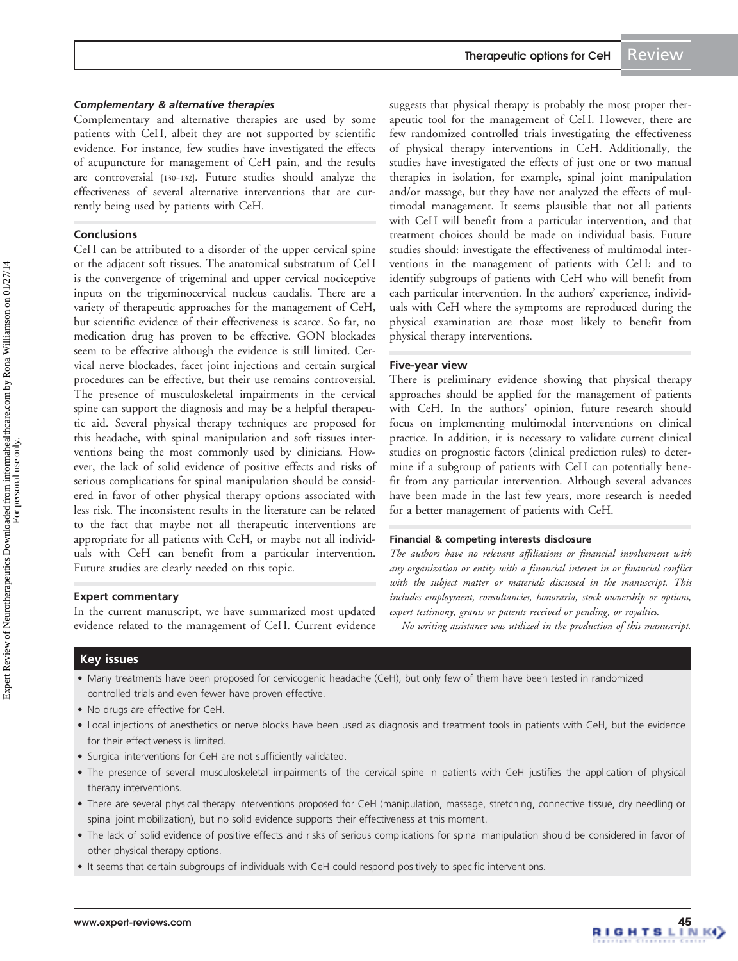Complementary and alternative therapies are used by some patients with CeH, albeit they are not supported by scientific evidence. For instance, few studies have investigated the effects of acupuncture for management of CeH pain, and the results are controversial [\[130](#page-10-0)–[132\]](#page-10-0). Future studies should analyze the effectiveness of several alternative interventions that are currently being used by patients with CeH.

#### Conclusions

CeH can be attributed to a disorder of the upper cervical spine or the adjacent soft tissues. The anatomical substratum of CeH is the convergence of trigeminal and upper cervical nociceptive inputs on the trigeminocervical nucleus caudalis. There are a variety of therapeutic approaches for the management of CeH, but scientific evidence of their effectiveness is scarce. So far, no medication drug has proven to be effective. GON blockades seem to be effective although the evidence is still limited. Cervical nerve blockades, facet joint injections and certain surgical procedures can be effective, but their use remains controversial. The presence of musculoskeletal impairments in the cervical spine can support the diagnosis and may be a helpful therapeutic aid. Several physical therapy techniques are proposed for this headache, with spinal manipulation and soft tissues interventions being the most commonly used by clinicians. However, the lack of solid evidence of positive effects and risks of serious complications for spinal manipulation should be considered in favor of other physical therapy options associated with less risk. The inconsistent results in the literature can be related to the fact that maybe not all therapeutic interventions are appropriate for all patients with CeH, or maybe not all individuals with CeH can benefit from a particular intervention. Future studies are clearly needed on this topic.

#### Expert commentary

In the current manuscript, we have summarized most updated evidence related to the management of CeH. Current evidence suggests that physical therapy is probably the most proper therapeutic tool for the management of CeH. However, there are few randomized controlled trials investigating the effectiveness of physical therapy interventions in CeH. Additionally, the studies have investigated the effects of just one or two manual therapies in isolation, for example, spinal joint manipulation and/or massage, but they have not analyzed the effects of multimodal management. It seems plausible that not all patients with CeH will benefit from a particular intervention, and that treatment choices should be made on individual basis. Future studies should: investigate the effectiveness of multimodal interventions in the management of patients with CeH; and to identify subgroups of patients with CeH who will benefit from each particular intervention. In the authors' experience, individuals with CeH where the symptoms are reproduced during the physical examination are those most likely to benefit from physical therapy interventions.

## Five-year view

There is preliminary evidence showing that physical therapy approaches should be applied for the management of patients with CeH. In the authors' opinion, future research should focus on implementing multimodal interventions on clinical practice. In addition, it is necessary to validate current clinical studies on prognostic factors (clinical prediction rules) to determine if a subgroup of patients with CeH can potentially benefit from any particular intervention. Although several advances have been made in the last few years, more research is needed for a better management of patients with CeH.

#### Financial & competing interests disclosure

The authors have no relevant affiliations or financial involvement with any organization or entity with a financial interest in or financial conflict with the subject matter or materials discussed in the manuscript. This includes employment, consultancies, honoraria, stock ownership or options, expert testimony, grants or patents received or pending, or royalties.

No writing assistance was utilized in the production of this manuscript.

## Key issues

- Many treatments have been proposed for cervicogenic headache (CeH), but only few of them have been tested in randomized controlled trials and even fewer have proven effective.
- No drugs are effective for CeH.
- Local injections of anesthetics or nerve blocks have been used as diagnosis and treatment tools in patients with CeH, but the evidence for their effectiveness is limited.
- Surgical interventions for CeH are not sufficiently validated.
- The presence of several musculoskeletal impairments of the cervical spine in patients with CeH justifies the application of physical therapy interventions.
- There are several physical therapy interventions proposed for CeH (manipulation, massage, stretching, connective tissue, dry needling or spinal joint mobilization), but no solid evidence supports their effectiveness at this moment.
- The lack of solid evidence of positive effects and risks of serious complications for spinal manipulation should be considered in favor of other physical therapy options.
- It seems that certain subgroups of individuals with CeH could respond positively to specific interventions.

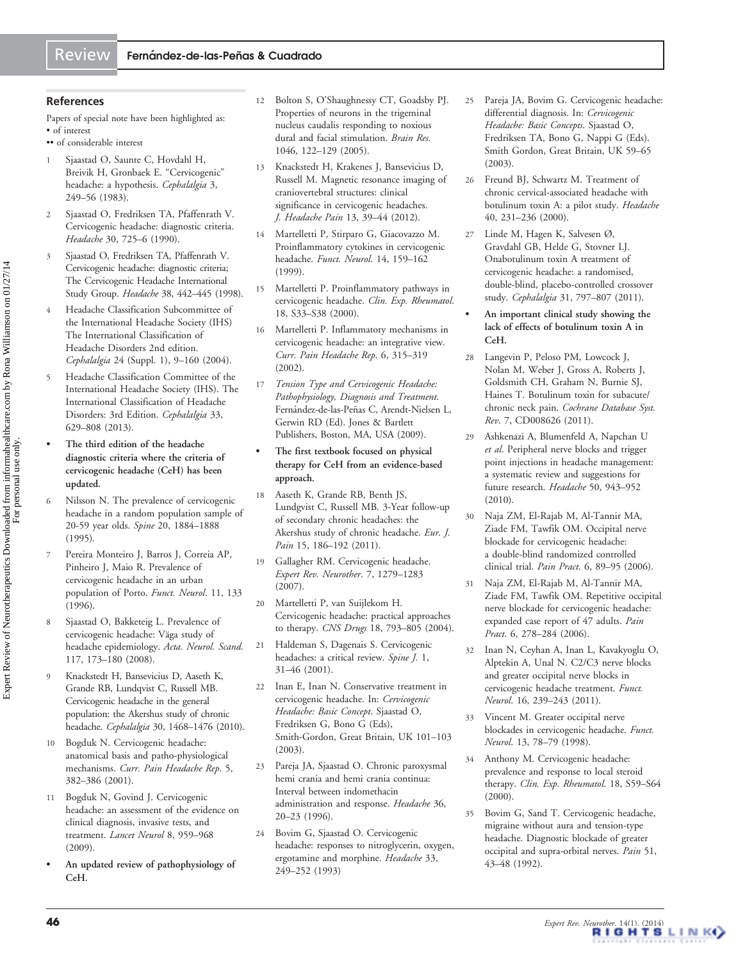## <span id="page-7-0"></span>References

Papers of special note have been highlighted as: • of interest

- •• of considerable interest
- Sjaastad O, Saunte C, Hovdahl H, Breivik H, Gronbaek E. "[Cervicogenic](www.ncbi.nlm.nih.gov/pubmed/6640659?dopt=Abstract)" [headache: a hypothesis.](www.ncbi.nlm.nih.gov/pubmed/6640659?dopt=Abstract) Cephalalgia 3, 249–56 (1983).
- 2 Sjaastad O, Fredriksen TA, Pfaffenrath V. [Cervicogenic headache: diagnostic criteria](www.ncbi.nlm.nih.gov/pubmed/2074165?dopt=Abstract). Headache 30, 725–6 (1990).
- 3 Sjaastad O, Fredriksen TA, Pfaffenrath V. [Cervicogenic headache: diagnostic criteria;](www.ncbi.nlm.nih.gov/pubmed/9664748?dopt=Abstract) [The Cervicogenic Headache International](www.ncbi.nlm.nih.gov/pubmed/9664748?dopt=Abstract) [Study Group](www.ncbi.nlm.nih.gov/pubmed/9664748?dopt=Abstract). Headache 38, 442–445 (1998).
- 4 Headache Classification Subcommittee of the International Headache Society (IHS) The International Classification of Headache Disorders 2nd edition. Cephalalgia 24 (Suppl. 1), 9–160 (2004).
- 5 Headache Classification Committee of the International Headache Society (IHS). The International Classification of Headache Disorders: 3rd Edition. Cephalalgia 33, 629–808 (2013).
- The third edition of the headache diagnostic criteria where the criteria of cervicogenic headache (CeH) has been updated.
- 6 Nilsson N. [The prevalence of cervicogenic](www.ncbi.nlm.nih.gov/pubmed/8560336?dopt=Abstract) [headache in a random population sample of](www.ncbi.nlm.nih.gov/pubmed/8560336?dopt=Abstract) [20-59 year olds.](www.ncbi.nlm.nih.gov/pubmed/8560336?dopt=Abstract) Spine 20, 1884–1888 (1995).
- 7 Pereira Monteiro J, Barros J, Correia AP, Pinheiro J, Maio R. Prevalence of cervicogenic headache in an urban population of Porto. Funct. Neurol. 11, 133 (1996).
- 8 Sjaastad O, Bakketeig L. [Prevalence of](www.ncbi.nlm.nih.gov/pubmed/18031563?dopt=Abstract) cervicogenic headache: Väga study of [headache epidemiology](www.ncbi.nlm.nih.gov/pubmed/18031563?dopt=Abstract). Acta. Neurol. Scand. 117, 173–180 (2008).
- 9 Knackstedt H, Bansevicius D, Aaseth K, Grande RB, Lundqvist C, Russell MB. [Cervicogenic headache in the general](www.ncbi.nlm.nih.gov/pubmed/20974607?dopt=Abstract) [population: the Akershus study of chronic](www.ncbi.nlm.nih.gov/pubmed/20974607?dopt=Abstract) [headache.](www.ncbi.nlm.nih.gov/pubmed/20974607?dopt=Abstract) Cephalalgia 30, 1468–1476 (2010).
- 10 Bogduk N. [Cervicogenic headache:](www.ncbi.nlm.nih.gov/pubmed/11403743?dopt=Abstract) [anatomical basis and patho-physiological](www.ncbi.nlm.nih.gov/pubmed/11403743?dopt=Abstract) [mechanisms.](www.ncbi.nlm.nih.gov/pubmed/11403743?dopt=Abstract) Curr. Pain Headache Rep. 5, 382–386 (2001).
- 11 Bogduk N, Govind J. [Cervicogenic](www.ncbi.nlm.nih.gov/pubmed/19747657?dopt=Abstract) [headache: an assessment of the evidence on](www.ncbi.nlm.nih.gov/pubmed/19747657?dopt=Abstract) [clinical diagnosis, invasive tests, and](www.ncbi.nlm.nih.gov/pubmed/19747657?dopt=Abstract) [treatment](www.ncbi.nlm.nih.gov/pubmed/19747657?dopt=Abstract). Lancet Neurol 8, 959–968 (2009).
- An updated review of pathophysiology of CeH.
- 12 Bolton S, O'Shaughnessy CT, Goadsby PJ. [Properties of neurons in the trigeminal](www.ncbi.nlm.nih.gov/pubmed/15885666?dopt=Abstract) [nucleus caudalis responding to noxious](www.ncbi.nlm.nih.gov/pubmed/15885666?dopt=Abstract) [dural and facial stimulation](www.ncbi.nlm.nih.gov/pubmed/15885666?dopt=Abstract). Brain Res. 1046, 122–129 (2005).
- 13 Knackstedt H, Krakenes J, Bansevicius D, Russell M. [Magnetic resonance imaging of](www.ncbi.nlm.nih.gov/pubmed/21947945?dopt=Abstract) [craniovertebral structures: clinical](www.ncbi.nlm.nih.gov/pubmed/21947945?dopt=Abstract) [significance in cervicogenic headaches](www.ncbi.nlm.nih.gov/pubmed/21947945?dopt=Abstract). J. Headache Pain 13, 39–44 (2012).
- 14 Martelletti P, Stirparo G, Giacovazzo M. [Proinflammatory cytokines in cervicogenic](www.ncbi.nlm.nih.gov/pubmed/10568217?dopt=Abstract) [headache.](www.ncbi.nlm.nih.gov/pubmed/10568217?dopt=Abstract) Funct. Neurol. 14, 159–162 (1999).
- 15 Martelletti P. [Proinflammatory pathways in](www.ncbi.nlm.nih.gov/pubmed/10824285?dopt=Abstract) [cervicogenic headache](www.ncbi.nlm.nih.gov/pubmed/10824285?dopt=Abstract). Clin. Exp. Rheumatol. 18, S33–S38 (2000).
- 16 Martelletti P. [Inflammatory mechanisms in](www.ncbi.nlm.nih.gov/pubmed/12095467?dopt=Abstract) [cervicogenic headache: an integrative view.](www.ncbi.nlm.nih.gov/pubmed/12095467?dopt=Abstract) Curr. Pain Headache Rep. 6, 315–319 (2002).
- 17 Tension Type and Cervicogenic Headache: Pathophysiology, Diagnosis and Treatment. Fernández-de-las-Peñas C, Arendt-Nielsen L, Gerwin RD (Ed). Jones & Bartlett Publishers, Boston, MA, USA (2009).
- The first textbook focused on physical therapy for CeH from an evidence-based approach.
- 18 Aaseth K, Grande RB, Benth JS, Lundgvist C, Russell MB. [3-Year follow-up](www.ncbi.nlm.nih.gov/pubmed/20667753?dopt=Abstract) [of secondary chronic headaches: the](www.ncbi.nlm.nih.gov/pubmed/20667753?dopt=Abstract) [Akershus study of chronic headache](www.ncbi.nlm.nih.gov/pubmed/20667753?dopt=Abstract). Eur. J. Pain 15, 186-192 (2011).
- 19 Gallagher RM. [Cervicogenic headache.](www.ncbi.nlm.nih.gov/pubmed/17939766?dopt=Abstract) Expert Rev. Neurother. 7, 1279–1283 (2007).
- 20 Martelletti P, van Suijlekom H. [Cervicogenic headache: practical approaches](www.ncbi.nlm.nih.gov/pubmed/15377169?dopt=Abstract) [to therapy.](www.ncbi.nlm.nih.gov/pubmed/15377169?dopt=Abstract) CNS Drugs 18, 793–805 (2004).
- 21 Haldeman S, Dagenais S. [Cervicogenic](www.ncbi.nlm.nih.gov/pubmed/14588366?dopt=Abstract) [headaches: a critical review.](www.ncbi.nlm.nih.gov/pubmed/14588366?dopt=Abstract) Spine J. 1, 31–46 (2001).
- 22 Inan E, Inan N. Conservative treatment in cervicogenic headache. In: Cervicogenic Headache: Basic Concept. Sjaastad O, Fredriksen G, Bono G (Eds), Smith-Gordon, Great Britain, UK 101–103 (2003).
- 23 Pareja JA, Sjaastad O. Chronic paroxysmal hemi crania and hemi crania continua: Interval between indomethacin administration and response. Headache 36, 20–23 (1996).
- 24 Bovim G, Sjaastad O. [Cervicogenic](www.ncbi.nlm.nih.gov/pubmed/8320100?dopt=Abstract) [headache: responses to nitroglycerin, oxygen,](www.ncbi.nlm.nih.gov/pubmed/8320100?dopt=Abstract) [ergotamine and morphine](www.ncbi.nlm.nih.gov/pubmed/8320100?dopt=Abstract). Headache 33, 249–252 (1993)
- 25 Pareja JA, Bovim G. Cervicogenic headache: differential diagnosis. In: Cervicogenic Headache: Basic Concepts. Sjaastad O, Fredriksen TA, Bono G, Nappi G (Eds). Smith Gordon, Great Britain, UK 59–65 (2003).
- 26 Freund BJ, Schwartz M. [Treatment of](www.ncbi.nlm.nih.gov/pubmed/10759926?dopt=Abstract) [chronic cervical-associated headache with](www.ncbi.nlm.nih.gov/pubmed/10759926?dopt=Abstract) [botulinum toxin A: a pilot study](www.ncbi.nlm.nih.gov/pubmed/10759926?dopt=Abstract). Headache 40, 231–236 (2000).
- 27 Linde M, Hagen K, Salvesen Ø, Gravdahl GB, Helde G, Stovner LJ. [Onabotulinum toxin A treatment of](www.ncbi.nlm.nih.gov/pubmed/21300635?dopt=Abstract) [cervicogenic headache: a randomised,](www.ncbi.nlm.nih.gov/pubmed/21300635?dopt=Abstract) [double-blind, placebo-controlled crossover](www.ncbi.nlm.nih.gov/pubmed/21300635?dopt=Abstract) [study.](www.ncbi.nlm.nih.gov/pubmed/21300635?dopt=Abstract) Cephalalgia 31, 797–807 (2011).
	- An important clinical study showing the lack of effects of botulinum toxin A in CeH.
- 28 Langevin P, Peloso PM, Lowcock J, Nolan M, Weber J, Gross A, Roberts J, Goldsmith CH, Graham N, Burnie SJ, Haines T. [Botulinum toxin for subacute/](www.ncbi.nlm.nih.gov/pubmed/21735434?dopt=Abstract) [chronic neck pain](www.ncbi.nlm.nih.gov/pubmed/21735434?dopt=Abstract). Cochrane Database Syst. Rev. 7, CD008626 (2011).
- 29 Ashkenazi A, Blumenfeld A, Napchan U et al. [Peripheral nerve blocks and trigger](www.ncbi.nlm.nih.gov/pubmed/20487039?dopt=Abstract) [point injections in headache management:](www.ncbi.nlm.nih.gov/pubmed/20487039?dopt=Abstract) [a systematic review and suggestions for](www.ncbi.nlm.nih.gov/pubmed/20487039?dopt=Abstract) [future research](www.ncbi.nlm.nih.gov/pubmed/20487039?dopt=Abstract). Headache 50, 943–952 (2010).
- 30 Naja ZM, El-Rajab M, Al-Tannir MA, Ziade FM, Tawfik OM. [Occipital nerve](www.ncbi.nlm.nih.gov/pubmed/17309715?dopt=Abstract) [blockade for cervicogenic headache:](www.ncbi.nlm.nih.gov/pubmed/17309715?dopt=Abstract) [a double-blind randomized controlled](www.ncbi.nlm.nih.gov/pubmed/17309715?dopt=Abstract) [clinical trial.](www.ncbi.nlm.nih.gov/pubmed/17309715?dopt=Abstract) Pain Pract. 6, 89-95 (2006).
- 31 Naja ZM, El-Rajab M, Al-Tannir MA, Ziade FM, Tawfik OM. [Repetitive occipital](www.ncbi.nlm.nih.gov/pubmed/17129309?dopt=Abstract) [nerve blockade for cervicogenic headache:](www.ncbi.nlm.nih.gov/pubmed/17129309?dopt=Abstract) [expanded case report of 47 adults.](www.ncbi.nlm.nih.gov/pubmed/17129309?dopt=Abstract) Pain Pract. 6, 278-284 (2006).
- 32 Inan N, Ceyhan A, Inan L, Kavakyoglu O, Alptekin A, Unal N. [C2/C3 nerve blocks](www.ncbi.nlm.nih.gov/pubmed/11769869?dopt=Abstract) [and greater occipital nerve blocks in](www.ncbi.nlm.nih.gov/pubmed/11769869?dopt=Abstract) [cervicogenic headache treatment](www.ncbi.nlm.nih.gov/pubmed/11769869?dopt=Abstract). Funct. Neurol. 16, 239–243 (2011).
- 33 Vincent M. [Greater occipital nerve](www.ncbi.nlm.nih.gov/pubmed/9584879?dopt=Abstract) [blockades in cervicogenic headache.](www.ncbi.nlm.nih.gov/pubmed/9584879?dopt=Abstract) Funct. Neurol. 13, 78–79 (1998).
- 34 Anthony M. [Cervicogenic headache:](www.ncbi.nlm.nih.gov/pubmed/10824289?dopt=Abstract) [prevalence and response to local steroid](www.ncbi.nlm.nih.gov/pubmed/10824289?dopt=Abstract) [therapy.](www.ncbi.nlm.nih.gov/pubmed/10824289?dopt=Abstract) Clin. Exp. Rheumatol. 18, S59-S64 (2000).
- 35 Bovim G, Sand T. [Cervicogenic headache,](www.ncbi.nlm.nih.gov/pubmed/1454403?dopt=Abstract) [migraine without aura and tension-type](www.ncbi.nlm.nih.gov/pubmed/1454403?dopt=Abstract) [headache. Diagnostic blockade of greater](www.ncbi.nlm.nih.gov/pubmed/1454403?dopt=Abstract) [occipital and supra-orbital nerves](www.ncbi.nlm.nih.gov/pubmed/1454403?dopt=Abstract). Pain 51, 43–48 (1992).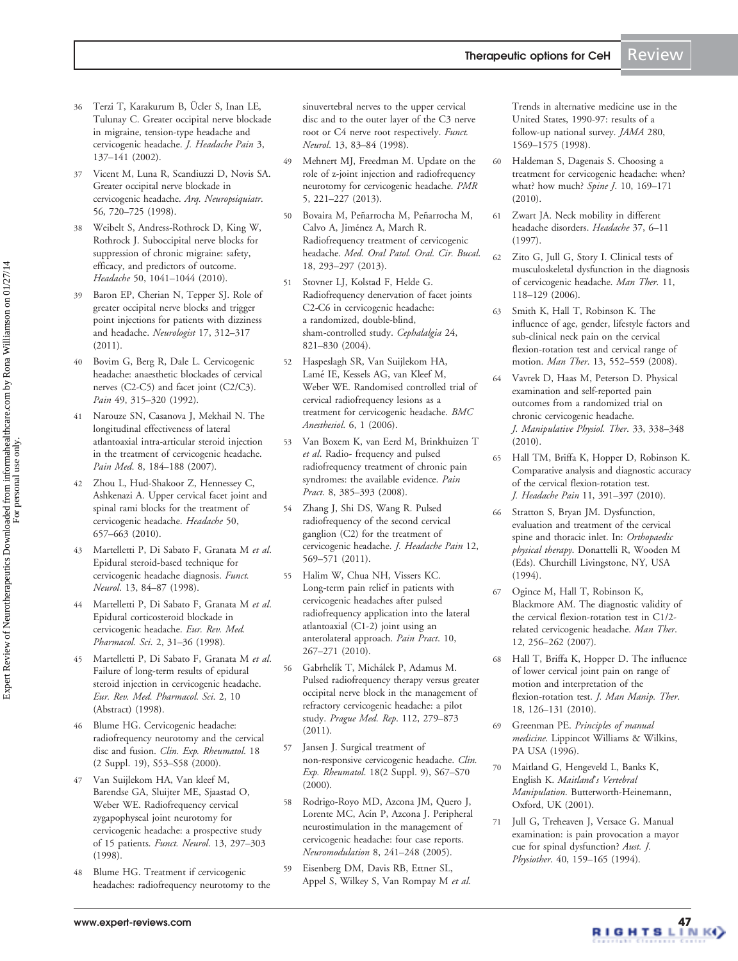- <span id="page-8-0"></span>36 Terzi T, Karakurum B, Ücler S, Inan LE, Tulunay C. Greater occipital nerve blockade in migraine, tension-type headache and cervicogenic headache. J. Headache Pain 3, 137–141 (2002).
- 37 Vicent M, Luna R, Scandiuzzi D, Novis SA. Greater occipital nerve blockade in cervicogenic headache. Arq. Neuropsiquiatr. 56, 720–725 (1998).
- 38 Weibelt S, Andress-Rothrock D, King W, Rothrock J. [Suboccipital nerve blocks for](www.ncbi.nlm.nih.gov/pubmed/20618817?dopt=Abstract) [suppression of chronic migraine: safety,](www.ncbi.nlm.nih.gov/pubmed/20618817?dopt=Abstract) [efficacy, and predictors of outcome](www.ncbi.nlm.nih.gov/pubmed/20618817?dopt=Abstract). Headache 50, 1041–1044 (2010).
- 39 Baron EP, Cherian N, Tepper SJ. [Role of](www.ncbi.nlm.nih.gov/pubmed/22045281?dopt=Abstract) [greater occipital nerve blocks and trigger](www.ncbi.nlm.nih.gov/pubmed/22045281?dopt=Abstract) [point injections for patients with dizziness](www.ncbi.nlm.nih.gov/pubmed/22045281?dopt=Abstract) [and headache](www.ncbi.nlm.nih.gov/pubmed/22045281?dopt=Abstract). Neurologist 17, 312–317 (2011).
- 40 Bovim G, Berg R, Dale L. [Cervicogenic](www.ncbi.nlm.nih.gov/pubmed/1408296?dopt=Abstract) [headache: anaesthetic blockades of cervical](www.ncbi.nlm.nih.gov/pubmed/1408296?dopt=Abstract) [nerves \(C2-C5\) and facet joint \(C2/C3\)](www.ncbi.nlm.nih.gov/pubmed/1408296?dopt=Abstract). Pain 49, 315-320 (1992).
- 41 Narouze SN, Casanova J, Mekhail N. [The](www.ncbi.nlm.nih.gov/pubmed/17305689?dopt=Abstract) [longitudinal effectiveness of lateral](www.ncbi.nlm.nih.gov/pubmed/17305689?dopt=Abstract) [atlantoaxial intra-articular steroid injection](www.ncbi.nlm.nih.gov/pubmed/17305689?dopt=Abstract) [in the treatment of cervicogenic headache](www.ncbi.nlm.nih.gov/pubmed/17305689?dopt=Abstract). Pain Med. 8, 184-188 (2007).
- Zhou L, Hud-Shakoor Z, Hennessey C, Ashkenazi A. [Upper cervical facet joint and](www.ncbi.nlm.nih.gov/pubmed/20132336?dopt=Abstract) [spinal rami blocks for the treatment of](www.ncbi.nlm.nih.gov/pubmed/20132336?dopt=Abstract) [cervicogenic headache.](www.ncbi.nlm.nih.gov/pubmed/20132336?dopt=Abstract) Headache 50, 657–663 (2010).
- 43 Martelletti P, Di Sabato F, Granata M et al. [Epidural steroid-based technique for](www.ncbi.nlm.nih.gov/pubmed/9584883?dopt=Abstract) [cervicogenic headache diagnosis](www.ncbi.nlm.nih.gov/pubmed/9584883?dopt=Abstract). Funct. Neurol. 13, 84–87 (1998).
- Martelletti P, Di Sabato F, Granata M et al. [Epidural corticosteroid blockade in](www.ncbi.nlm.nih.gov/pubmed/9825568?dopt=Abstract) [cervicogenic headache.](www.ncbi.nlm.nih.gov/pubmed/9825568?dopt=Abstract) Eur. Rev. Med. Pharmacol. Sci. 2, 31–36 (1998).
- 45 Martelletti P, Di Sabato F, Granata M et al. [Failure of long-term results of epidural](www.ncbi.nlm.nih.gov/pubmed/9825564?dopt=Abstract) [steroid injection in cervicogenic headache.](www.ncbi.nlm.nih.gov/pubmed/9825564?dopt=Abstract) Eur. Rev. Med. Pharmacol. Sci. 2, 10 (Abstract) (1998).
- 46 Blume HG. [Cervicogenic headache:](www.ncbi.nlm.nih.gov/pubmed/10824288?dopt=Abstract) [radiofrequency neurotomy and the cervical](www.ncbi.nlm.nih.gov/pubmed/10824288?dopt=Abstract) [disc and fusion](www.ncbi.nlm.nih.gov/pubmed/10824288?dopt=Abstract). Clin. Exp. Rheumatol. 18 (2 Suppl. 19), S53–S58 (2000).
- 47 Van Suijlekom HA, Van kleef M, Barendse GA, Sluijter ME, Sjaastad O, Weber WE. [Radiofrequency cervical](www.ncbi.nlm.nih.gov/pubmed/9934574?dopt=Abstract) [zygapophyseal joint neurotomy for](www.ncbi.nlm.nih.gov/pubmed/9934574?dopt=Abstract) [cervicogenic headache: a prospective study](www.ncbi.nlm.nih.gov/pubmed/9934574?dopt=Abstract) [of 15 patients.](www.ncbi.nlm.nih.gov/pubmed/9934574?dopt=Abstract) Funct. Neurol. 13, 297–303 (1998).
- 48 Blume HG. [Treatment if cervicogenic](www.ncbi.nlm.nih.gov/pubmed/9584882?dopt=Abstract) [headaches: radiofrequency neurotomy to the](www.ncbi.nlm.nih.gov/pubmed/9584882?dopt=Abstract)

[sinuvertebral nerves to the upper cervical](www.ncbi.nlm.nih.gov/pubmed/9584882?dopt=Abstract) [disc and to the outer layer of the C3 nerve](www.ncbi.nlm.nih.gov/pubmed/9584882?dopt=Abstract) [root or C4 nerve root respectively](www.ncbi.nlm.nih.gov/pubmed/9584882?dopt=Abstract). Funct. Neurol. 13, 83–84 (1998).

- 49 Mehnert MJ, Freedman M. Update on the role of z-joint injection and radiofrequency neurotomy for cervicogenic headache. PMR 5, 221–227 (2013).
- 50 Bovaira M, Peñarrocha M, Peñarrocha M, Calvo A, Jiménez A, March R. Radiofrequency treatment of cervicogenic headache. Med. Oral Patol. Oral. Cir. Bucal. 18, 293–297 (2013).
- 51 Stovner LJ, Kolstad F, Helde G. [Radiofrequency denervation of facet joints](www.ncbi.nlm.nih.gov/pubmed/15377312?dopt=Abstract) [C2-C6 in cervicogenic headache:](www.ncbi.nlm.nih.gov/pubmed/15377312?dopt=Abstract) [a randomized, double-blind,](www.ncbi.nlm.nih.gov/pubmed/15377312?dopt=Abstract) [sham-controlled study.](www.ncbi.nlm.nih.gov/pubmed/15377312?dopt=Abstract) Cephalalgia 24, 821–830 (2004).
- 52 Haspeslagh SR, Van Suijlekom HA, Lamé IE, Kessels AG, van Kleef M, Weber WE. [Randomised controlled trial of](www.ncbi.nlm.nih.gov/pubmed/16483374?dopt=Abstract) [cervical radiofrequency lesions as a](www.ncbi.nlm.nih.gov/pubmed/16483374?dopt=Abstract) [treatment for cervicogenic headache.](www.ncbi.nlm.nih.gov/pubmed/16483374?dopt=Abstract) BMC Anesthesiol. 6, 1 (2006).
- 53 Van Boxem K, van Eerd M, Brinkhuizen T et al. [Radio- frequency and pulsed](www.ncbi.nlm.nih.gov/pubmed/18721175?dopt=Abstract) [radiofrequency treatment of chronic pain](www.ncbi.nlm.nih.gov/pubmed/18721175?dopt=Abstract) [syndromes: the available evidence](www.ncbi.nlm.nih.gov/pubmed/18721175?dopt=Abstract). Pain Pract. 8, 385-393 (2008).
- 54 Zhang J, Shi DS, Wang R. [Pulsed](www.ncbi.nlm.nih.gov/pubmed/21611808?dopt=Abstract) [radiofrequency of the second cervical](www.ncbi.nlm.nih.gov/pubmed/21611808?dopt=Abstract) [ganglion \(C2\) for the treatment of](www.ncbi.nlm.nih.gov/pubmed/21611808?dopt=Abstract) [cervicogenic headache.](www.ncbi.nlm.nih.gov/pubmed/21611808?dopt=Abstract) J. Headache Pain 12, 569–571 (2011).
- 55 Halim W, Chua NH, Vissers KC. [Long-term pain relief in patients with](www.ncbi.nlm.nih.gov/pubmed/20230456?dopt=Abstract) [cervicogenic headaches after pulsed](www.ncbi.nlm.nih.gov/pubmed/20230456?dopt=Abstract) [radiofrequency application into the lateral](www.ncbi.nlm.nih.gov/pubmed/20230456?dopt=Abstract) [atlantoaxial \(C1-2\) joint using an](www.ncbi.nlm.nih.gov/pubmed/20230456?dopt=Abstract) [anterolateral approach](www.ncbi.nlm.nih.gov/pubmed/20230456?dopt=Abstract). Pain Pract. 10, 267–271 (2010).
- 56 Gabrhelík T, Michálek P, Adamus M. [Pulsed radiofrequency therapy versus greater](www.ncbi.nlm.nih.gov/pubmed/22142523?dopt=Abstract) [occipital nerve block in the management of](www.ncbi.nlm.nih.gov/pubmed/22142523?dopt=Abstract) [refractory cervicogenic headache: a pilot](www.ncbi.nlm.nih.gov/pubmed/22142523?dopt=Abstract) [study](www.ncbi.nlm.nih.gov/pubmed/22142523?dopt=Abstract). Prague Med. Rep. 112, 279–873 (2011).
- 57 Jansen J. [Surgical treatment of](www.ncbi.nlm.nih.gov/pubmed/10824291?dopt=Abstract) [non-responsive cervicogenic headache](www.ncbi.nlm.nih.gov/pubmed/10824291?dopt=Abstract). Clin. Exp. Rheumatol. 18(2 Suppl. 9), S67–S70 (2000).
- 58 Rodrigo-Royo MD, Azcona JM, Quero J, Lorente MC, Acín P, Azcona J. [Peripheral](www.ncbi.nlm.nih.gov/pubmed/22151552?dopt=Abstract) [neurostimulation in the management of](www.ncbi.nlm.nih.gov/pubmed/22151552?dopt=Abstract) [cervicogenic headache: four case reports.](www.ncbi.nlm.nih.gov/pubmed/22151552?dopt=Abstract) Neuromodulation 8, 241–248 (2005).
- 59 Eisenberg DM, Davis RB, Ettner SL, Appel S, Wilkey S, Van Rompay M et al.

[Trends in alternative medicine use in the](www.ncbi.nlm.nih.gov/pubmed/9820257?dopt=Abstract) [United States, 1990-97: results of a](www.ncbi.nlm.nih.gov/pubmed/9820257?dopt=Abstract) [follow-up national survey.](www.ncbi.nlm.nih.gov/pubmed/9820257?dopt=Abstract) JAMA 280, 1569–1575 (1998).

- 60 Haldeman S, Dagenais S. [Choosing a](www.ncbi.nlm.nih.gov/pubmed/20004621?dopt=Abstract) [treatment for cervicogenic headache: when?](www.ncbi.nlm.nih.gov/pubmed/20004621?dopt=Abstract) [what? how much?](www.ncbi.nlm.nih.gov/pubmed/20004621?dopt=Abstract) Spine J. 10, 169-171 (2010).
- 61 Zwart JA. [Neck mobility in different](www.ncbi.nlm.nih.gov/pubmed/9046716?dopt=Abstract) [headache disorders](www.ncbi.nlm.nih.gov/pubmed/9046716?dopt=Abstract). Headache 37, 6–11 (1997).
- 62 Zito G, Jull G, Story I. [Clinical tests of](www.ncbi.nlm.nih.gov/pubmed/16027027?dopt=Abstract) [musculoskeletal dysfunction in the diagnosis](www.ncbi.nlm.nih.gov/pubmed/16027027?dopt=Abstract) [of cervicogenic headache](www.ncbi.nlm.nih.gov/pubmed/16027027?dopt=Abstract). Man Ther. 11, 118–129 (2006).
- 63 Smith K, Hall T, Robinson K. [The](www.ncbi.nlm.nih.gov/pubmed/17945529?dopt=Abstract) [influence of age, gender, lifestyle factors and](www.ncbi.nlm.nih.gov/pubmed/17945529?dopt=Abstract) [sub-clinical neck pain on the cervical](www.ncbi.nlm.nih.gov/pubmed/17945529?dopt=Abstract) [flexion-rotation test and cervical range of](www.ncbi.nlm.nih.gov/pubmed/17945529?dopt=Abstract) [motion.](www.ncbi.nlm.nih.gov/pubmed/17945529?dopt=Abstract) Man Ther. 13, 552–559 (2008).
- 64 Vavrek D, Haas M, Peterson D. [Physical](www.ncbi.nlm.nih.gov/pubmed/20605552?dopt=Abstract) [examination and self-reported pain](www.ncbi.nlm.nih.gov/pubmed/20605552?dopt=Abstract) [outcomes from a randomized trial on](www.ncbi.nlm.nih.gov/pubmed/20605552?dopt=Abstract) [chronic cervicogenic headache.](www.ncbi.nlm.nih.gov/pubmed/20605552?dopt=Abstract) J. Manipulative Physiol. Ther. 33, 338–348 (2010).
- 65 Hall TM, Briffa K, Hopper D, Robinson K. [Comparative analysis and diagnostic accuracy](www.ncbi.nlm.nih.gov/pubmed/20508964?dopt=Abstract) [of the cervical flexion-rotation test.](www.ncbi.nlm.nih.gov/pubmed/20508964?dopt=Abstract) J. Headache Pain 11, 391–397 (2010).
- 66 Stratton S, Bryan JM. Dysfunction, evaluation and treatment of the cervical spine and thoracic inlet. In: Orthopaedic physical therapy. Donattelli R, Wooden M (Eds). Churchill Livingstone, NY, USA (1994).
- 67 Ogince M, Hall T, Robinson K, Blackmore AM. [The diagnostic validity of](www.ncbi.nlm.nih.gov/pubmed/17112768?dopt=Abstract) [the cervical flexion-rotation test in C1/2](www.ncbi.nlm.nih.gov/pubmed/17112768?dopt=Abstract) [related cervicogenic headache](www.ncbi.nlm.nih.gov/pubmed/17112768?dopt=Abstract). Man Ther. 12, 256–262 (2007).
- 68 Hall T, Briffa K, Hopper D. [The influence](www.ncbi.nlm.nih.gov/pubmed/21886422?dopt=Abstract) [of lower cervical joint pain on range of](www.ncbi.nlm.nih.gov/pubmed/21886422?dopt=Abstract) [motion and interpretation of the](www.ncbi.nlm.nih.gov/pubmed/21886422?dopt=Abstract) [flexion-rotation test](www.ncbi.nlm.nih.gov/pubmed/21886422?dopt=Abstract). J. Man Manip. Ther. 18, 126–131 (2010).
- 69 Greenman PE. Principles of manual medicine. Lippincot Williams & Wilkins, PA USA (1996).
- 70 Maitland G, Hengeveld L, Banks K, English K. Maitland's Vertebral Manipulation. Butterworth-Heinemann, Oxford, UK (2001).
- 71 Jull G, Treheaven J, Versace G. Manual examination: is pain provocation a mayor cue for spinal dysfunction? Aust. J. Physiother. 40, 159–165 (1994).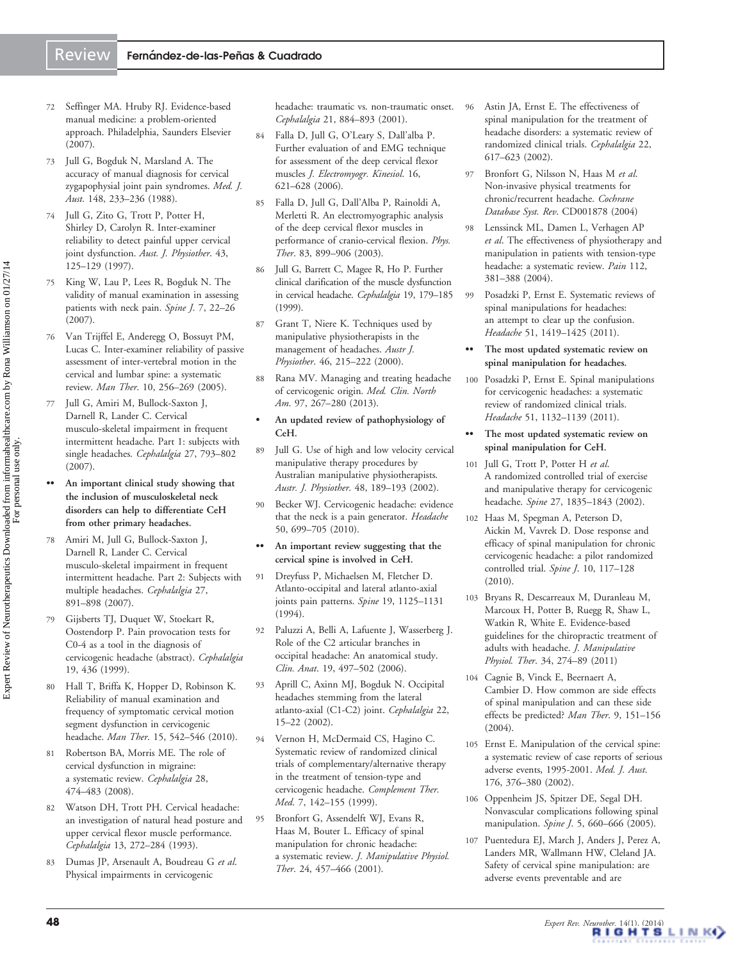- <span id="page-9-0"></span>72 Seffinger MA. Hruby RJ. Evidence-based manual medicine: a problem-oriented approach. Philadelphia, Saunders Elsevier (2007).
- 73 Jull G, Bogduk N, Marsland A. [The](www.ncbi.nlm.nih.gov/pubmed/3343953?dopt=Abstract) [accuracy of manual diagnosis for cervical](www.ncbi.nlm.nih.gov/pubmed/3343953?dopt=Abstract) [zygapophysial joint pain syndromes](www.ncbi.nlm.nih.gov/pubmed/3343953?dopt=Abstract). Med. J. Aust. 148, 233–236 (1988).
- 74 Jull G, Zito G, Trott P, Potter H, Shirley D, Carolyn R. [Inter-examiner](www.ncbi.nlm.nih.gov/pubmed/11676679?dopt=Abstract) [reliability to detect painful upper cervical](www.ncbi.nlm.nih.gov/pubmed/11676679?dopt=Abstract) [joint dysfunction](www.ncbi.nlm.nih.gov/pubmed/11676679?dopt=Abstract). Aust. J. Physiother. 43, 125–129 (1997).
- 75 King W, Lau P, Lees R, Bogduk N. [The](www.ncbi.nlm.nih.gov/pubmed/17197328?dopt=Abstract) [validity of manual examination in assessing](www.ncbi.nlm.nih.gov/pubmed/17197328?dopt=Abstract) [patients with neck pain](www.ncbi.nlm.nih.gov/pubmed/17197328?dopt=Abstract). Spine J. 7, 22–26 (2007).
- 76 Van Trijffel E, Anderegg O, Bossuyt PM, Lucas C. [Inter-examiner reliability of passive](www.ncbi.nlm.nih.gov/pubmed/15994114?dopt=Abstract) [assessment of inter-vertebral motion in the](www.ncbi.nlm.nih.gov/pubmed/15994114?dopt=Abstract) [cervical and lumbar spine: a systematic](www.ncbi.nlm.nih.gov/pubmed/15994114?dopt=Abstract) [review.](www.ncbi.nlm.nih.gov/pubmed/15994114?dopt=Abstract) Man Ther. 10, 256–269 (2005).
- 77 Jull G, Amiri M, Bullock-Saxton J, Darnell R, Lander C. [Cervical](www.ncbi.nlm.nih.gov/pubmed/17598761?dopt=Abstract) [musculo-skeletal impairment in frequent](www.ncbi.nlm.nih.gov/pubmed/17598761?dopt=Abstract) [intermittent headache. Part 1: subjects with](www.ncbi.nlm.nih.gov/pubmed/17598761?dopt=Abstract) [single headaches.](www.ncbi.nlm.nih.gov/pubmed/17598761?dopt=Abstract) Cephalalgia 27, 793–802 (2007).
- An important clinical study showing that the inclusion of musculoskeletal neck disorders can help to differentiate CeH from other primary headaches.
- 78 Amiri M, Jull G, Bullock-Saxton J, Darnell R, Lander C. [Cervical](www.ncbi.nlm.nih.gov/pubmed/17608813?dopt=Abstract) [musculo-skeletal impairment in frequent](www.ncbi.nlm.nih.gov/pubmed/17608813?dopt=Abstract) [intermittent headache. Part 2: Subjects with](www.ncbi.nlm.nih.gov/pubmed/17608813?dopt=Abstract) [multiple headaches.](www.ncbi.nlm.nih.gov/pubmed/17608813?dopt=Abstract) Cephalalgia 27, 891–898 (2007).
- 79 Gijsberts TJ, Duquet W, Stoekart R, Oostendorp P. Pain provocation tests for C0-4 as a tool in the diagnosis of cervicogenic headache (abstract). Cephalalgia 19, 436 (1999).
- 80 Hall T, Briffa K, Hopper D, Robinson K. [Reliability of manual examination and](www.ncbi.nlm.nih.gov/pubmed/20609613?dopt=Abstract) [frequency of symptomatic cervical motion](www.ncbi.nlm.nih.gov/pubmed/20609613?dopt=Abstract) [segment dysfunction in cervicogenic](www.ncbi.nlm.nih.gov/pubmed/20609613?dopt=Abstract) [headache.](www.ncbi.nlm.nih.gov/pubmed/20609613?dopt=Abstract) Man Ther. 15, 542–546 (2010).
- 81 Robertson BA, Morris ME. [The role of](www.ncbi.nlm.nih.gov/pubmed/18318747?dopt=Abstract) [cervical dysfunction in migraine:](www.ncbi.nlm.nih.gov/pubmed/18318747?dopt=Abstract) [a systematic review.](www.ncbi.nlm.nih.gov/pubmed/18318747?dopt=Abstract) Cephalalgia 28, 474–483 (2008).
- 82 Watson DH, Trott PH. [Cervical headache:](www.ncbi.nlm.nih.gov/pubmed/8374943?dopt=Abstract) [an investigation of natural head posture and](www.ncbi.nlm.nih.gov/pubmed/8374943?dopt=Abstract) [upper cervical flexor muscle performance](www.ncbi.nlm.nih.gov/pubmed/8374943?dopt=Abstract). Cephalalgia 13, 272–284 (1993).
- 83 Dumas JP, Arsenault A, Boudreau G et al. [Physical impairments in cervicogenic](www.ncbi.nlm.nih.gov/pubmed/11903282?dopt=Abstract)

[headache: traumatic vs. non-traumatic onset.](www.ncbi.nlm.nih.gov/pubmed/11903282?dopt=Abstract) Cephalalgia 21, 884–893 (2001).

- 84 Falla D, Jull G, O'Leary S, Dall'alba P. [Further evaluation of and EMG technique](www.ncbi.nlm.nih.gov/pubmed/16359872?dopt=Abstract) [for assessment of the deep cervical flexor](www.ncbi.nlm.nih.gov/pubmed/16359872?dopt=Abstract) [muscles](www.ncbi.nlm.nih.gov/pubmed/16359872?dopt=Abstract) J. Electromyogr. Kinesiol. 16, 621–628 (2006).
- 85 Falla D, Jull G, Dall'Alba P, Rainoldi A, Merletti R. [An electromyographic analysis](www.ncbi.nlm.nih.gov/pubmed/14519061?dopt=Abstract) [of the deep cervical flexor muscles in](www.ncbi.nlm.nih.gov/pubmed/14519061?dopt=Abstract) [performance of cranio-cervical flexion](www.ncbi.nlm.nih.gov/pubmed/14519061?dopt=Abstract). Phys. Ther. 83, 899–906 (2003).
- 86 Jull G, Barrett C, Magee R, Ho P. [Further](www.ncbi.nlm.nih.gov/pubmed/10234466?dopt=Abstract) [clinical clarification of the muscle dysfunction](www.ncbi.nlm.nih.gov/pubmed/10234466?dopt=Abstract) [in cervical headache](www.ncbi.nlm.nih.gov/pubmed/10234466?dopt=Abstract). Cephalalgia 19, 179–185 (1999).
- 87 Grant T, Niere K. Techniques used by manipulative physiotherapists in the management of headaches. Austr J. Physiother. 46, 215–222 (2000).
- 88 Rana MV. [Managing and treating headache](www.ncbi.nlm.nih.gov/pubmed/23419625?dopt=Abstract) [of cervicogenic origin](www.ncbi.nlm.nih.gov/pubmed/23419625?dopt=Abstract). Med. Clin. North Am. 97, 267-280 (2013).
- An updated review of pathophysiology of CeH.
- 89 Jull G. Use of high and low velocity cervical manipulative therapy procedures by Australian manipulative physiotherapists. Austr. J. Physiother. 48, 189–193 (2002).
- 90 Becker WJ. [Cervicogenic headache: evidence](www.ncbi.nlm.nih.gov/pubmed/20456156?dopt=Abstract) [that the neck is a pain generator.](www.ncbi.nlm.nih.gov/pubmed/20456156?dopt=Abstract) Headache 50, 699–705 (2010).
- •• An important review suggesting that the cervical spine is involved in CeH.
- 91 Dreyfuss P, Michaelsen M, Fletcher D. [Atlanto-occipital and lateral atlanto-axial](www.ncbi.nlm.nih.gov/pubmed/8059267?dopt=Abstract) [joints pain patterns.](www.ncbi.nlm.nih.gov/pubmed/8059267?dopt=Abstract) Spine 19, 1125-1131 (1994).
- 92 Paluzzi A, Belli A, Lafuente J, Wasserberg J. [Role of the C2 articular branches in](www.ncbi.nlm.nih.gov/pubmed/16092125?dopt=Abstract) [occipital headache: An anatomical study.](www.ncbi.nlm.nih.gov/pubmed/16092125?dopt=Abstract) Clin. Anat. 19, 497–502 (2006).
- 93 Aprill C, Axinn MJ, Bogduk N. [Occipital](www.ncbi.nlm.nih.gov/pubmed/11993608?dopt=Abstract) [headaches stemming from the lateral](www.ncbi.nlm.nih.gov/pubmed/11993608?dopt=Abstract) [atlanto-axial \(C1-C2\) joint.](www.ncbi.nlm.nih.gov/pubmed/11993608?dopt=Abstract) Cephalalgia 22, 15–22 (2002).
- 94 Vernon H, McDermaid CS, Hagino C. [Systematic review of randomized clinical](www.ncbi.nlm.nih.gov/pubmed/10581824?dopt=Abstract) [trials of complementary/alternative therapy](www.ncbi.nlm.nih.gov/pubmed/10581824?dopt=Abstract) [in the treatment of tension-type and](www.ncbi.nlm.nih.gov/pubmed/10581824?dopt=Abstract) [cervicogenic headache](www.ncbi.nlm.nih.gov/pubmed/10581824?dopt=Abstract). Complement Ther. Med. 7, 142–155 (1999).
- 95 Bronfort G, Assendelft WJ, Evans R, Haas M, Bouter L. [Efficacy of spinal](www.ncbi.nlm.nih.gov/pubmed/11562654?dopt=Abstract) [manipulation for chronic headache:](www.ncbi.nlm.nih.gov/pubmed/11562654?dopt=Abstract) [a systematic review.](www.ncbi.nlm.nih.gov/pubmed/11562654?dopt=Abstract) J. Manipulative Physiol. Ther. 24, 457–466 (2001).
- 96 Astin JA, Ernst E. [The effectiveness of](www.ncbi.nlm.nih.gov/pubmed/12383058?dopt=Abstract) [spinal manipulation for the treatment of](www.ncbi.nlm.nih.gov/pubmed/12383058?dopt=Abstract) [headache disorders: a systematic review of](www.ncbi.nlm.nih.gov/pubmed/12383058?dopt=Abstract) [randomized clinical trials.](www.ncbi.nlm.nih.gov/pubmed/12383058?dopt=Abstract) Cephalalgia 22, 617–623 (2002).
- 97 Bronfort G, Nilsson N, Haas M et al. Non-invasive physical treatments for chronic/recurrent headache. Cochrane Database Syst. Rev. CD001878 (2004)
- 98 Lenssinck ML, Damen L, Verhagen AP et al. [The effectiveness of physiotherapy and](www.ncbi.nlm.nih.gov/pubmed/15561394?dopt=Abstract) [manipulation in patients with tension-type](www.ncbi.nlm.nih.gov/pubmed/15561394?dopt=Abstract) [headache: a systematic review](www.ncbi.nlm.nih.gov/pubmed/15561394?dopt=Abstract). Pain 112, 381–388 (2004).
- 99 Posadzki P, Ernst E. [Systematic reviews of](www.ncbi.nlm.nih.gov/pubmed/21453329?dopt=Abstract) [spinal manipulations for headaches:](www.ncbi.nlm.nih.gov/pubmed/21453329?dopt=Abstract) [an attempt to clear up the confusion](www.ncbi.nlm.nih.gov/pubmed/21453329?dopt=Abstract). Headache 51, 1419–1425 (2011).
- •• The most updated systematic review on spinal manipulation for headaches.
- 100 Posadzki P, Ernst E. [Spinal manipulations](www.ncbi.nlm.nih.gov/pubmed/21649656?dopt=Abstract) [for cervicogenic headaches: a systematic](www.ncbi.nlm.nih.gov/pubmed/21649656?dopt=Abstract) [review of randomized clinical trials.](www.ncbi.nlm.nih.gov/pubmed/21649656?dopt=Abstract) Headache 51, 1132–1139 (2011).
- •• The most updated systematic review on spinal manipulation for CeH.
- 101 Jull G, Trott P, Potter H et al. [A randomized controlled trial of exercise](www.ncbi.nlm.nih.gov/pubmed/12221344?dopt=Abstract) [and manipulative therapy for cervicogenic](www.ncbi.nlm.nih.gov/pubmed/12221344?dopt=Abstract) [headache.](www.ncbi.nlm.nih.gov/pubmed/12221344?dopt=Abstract) Spine 27, 1835-1843 (2002).
- 102 Haas M, Spegman A, Peterson D, Aickin M, Vavrek D. [Dose response and](www.ncbi.nlm.nih.gov/pubmed/19837005?dopt=Abstract) [efficacy of spinal manipulation for chronic](www.ncbi.nlm.nih.gov/pubmed/19837005?dopt=Abstract) [cervicogenic headache: a pilot randomized](www.ncbi.nlm.nih.gov/pubmed/19837005?dopt=Abstract) [controlled trial.](www.ncbi.nlm.nih.gov/pubmed/19837005?dopt=Abstract) Spine J. 10, 117-128 (2010).
- 103 Bryans R, Descarreaux M, Duranleau M, Marcoux H, Potter B, Ruegg R, Shaw L, Watkin R, White E. [Evidence-based](www.ncbi.nlm.nih.gov/pubmed/21640251?dopt=Abstract) [guidelines for the chiropractic treatment of](www.ncbi.nlm.nih.gov/pubmed/21640251?dopt=Abstract) [adults with headache](www.ncbi.nlm.nih.gov/pubmed/21640251?dopt=Abstract). J. Manipulative Physiol. Ther. 34, 274–89 (2011)
- 104 Cagnie B, Vinck E, Beernaert A, Cambier D. [How common are side effects](www.ncbi.nlm.nih.gov/pubmed/15245709?dopt=Abstract) [of spinal manipulation and can these side](www.ncbi.nlm.nih.gov/pubmed/15245709?dopt=Abstract) [effects be predicted?](www.ncbi.nlm.nih.gov/pubmed/15245709?dopt=Abstract) Man Ther. 9, 151-156 (2004).
- 105 Ernst E. [Manipulation of the cervical spine:](www.ncbi.nlm.nih.gov/pubmed/12041633?dopt=Abstract) [a systematic review of case reports of serious](www.ncbi.nlm.nih.gov/pubmed/12041633?dopt=Abstract) [adverse events, 1995-2001](www.ncbi.nlm.nih.gov/pubmed/12041633?dopt=Abstract). Med. J. Aust. 176, 376–380 (2002).
- 106 Oppenheim JS, Spitzer DE, Segal DH. [Nonvascular complications following spinal](www.ncbi.nlm.nih.gov/pubmed/16291108?dopt=Abstract) [manipulation](www.ncbi.nlm.nih.gov/pubmed/16291108?dopt=Abstract). Spine J. 5, 660-666 (2005).
- 107 Puentedura EJ, March J, Anders J, Perez A, Landers MR, Wallmann HW, Cleland JA. [Safety of cervical spine manipulation: are](www.ncbi.nlm.nih.gov/pubmed/23633885?dopt=Abstract) [adverse events preventable and are](www.ncbi.nlm.nih.gov/pubmed/23633885?dopt=Abstract)